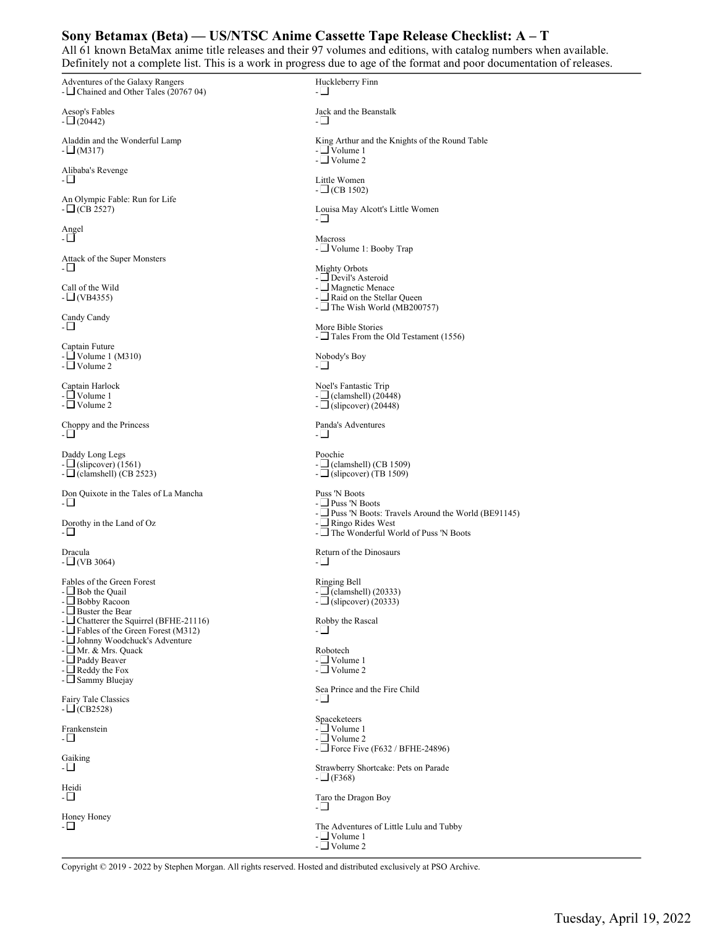## **Sony Betamax (Beta) — US/NTSC Anime Cassette Tape Release Checklist: A – T**

All 61 known BetaMax anime title releases and their 97 volumes and editions, with catalog numbers when available. Definitely not a complete list. This is a work in progress due to age of the format and poor documentation of releases.

Adventures of the Galaxy Rangers - Chained and Other Tales (20767 04) Aesop's Fables  $- \Box (20442)$ Aladdin and the Wonderful Lamp  $- \Box$  (M317) Alibaba's Revenge  $-\Box$ An Olympic Fable: Run for Life  $- \Box$  (CB 2527) Angel - Attack of the Super Monsters  $\Box$ Call of the Wild  $-L$  (VB4355) Candy Candy - Captain Future - Volume 1 (M310) - Volume 2 Captain Harlock - Volume 1 - Volume 2 Choppy and the Princess - Daddy Long Legs  $-\underline{\bigsqcup}$  (slipcover) (1561)  $-\Box$ (clamshell) (CB 2523) Don Quixote in the Tales of La Mancha  $\Box$ Dorothy in the Land of Oz  $-\Box$ Dracula  $-\Box$  (VB 3064) Fables of the Green Forest  $-\Box$  Bob the Quail - Bobby Racoon  $-\Box$  Buster the Bear - Chatterer the Squirrel (BFHE-21116) -  $\Box$  Fables of the Green Forest (M312) - Johnny Woodchuck's Adventure -∟Mr. & Mrs. Quack - □ Paddy Beaver  $\Box$  Reddy the Fox - Sammy Bluejay Fairy Tale Classics  $-L$  (CB2528) Frankenstein  $-\Box$ Gaiking -⊡ Heidi - □ Honey Honey -⊡ Huckleberry Finn -⊡ Jack and the Beanstalk  $-\Box$ King Arthur and the Knights of the Round Table - Volume 1 - Volume 2 Little Women  $- \Box$  (CB 1502) Louisa May Alcott's Little Women  $-\Box$ Macross - Volume 1: Booby Trap Mighty Orbots - Devil's Asteroid - Magnetic Menace  $-\Box$  Raid on the Stellar Queen -  $\Box$  The Wish World (MB200757) More Bible Stories - Tales From the Old Testament (1556) Nobody's Boy - Noel's Fantastic Trip  $-\Box$  (clamshell) (20448)  $- \Box$ (slipcover) (20448) Panda's Adventures -⊡ Poochie  $-L$  (clamshell) (CB 1509)  $-\Box$  (slipcover) (TB 1509) Puss 'N Boots - Puss 'N Boots  $-$  Puss 'N Boots: Travels Around the World (BE91145)  $-\Box$  Ringo Rides West - The Wonderful World of Puss 'N Boots Return of the Dinosaurs -⊡ Ringing Bell  $-\Box$ (clamshell) (20333)  $-\Box$  (slipcover) (20333) Robby the Rascal  $-\Box$ Robotech - Volume 1  $-$  Volume 2 Sea Prince and the Fire Child ـٰם Spaceketeers - Volume 1  $\Box$  Volume 2 - Force Five (F632 / BFHE-24896) Strawberry Shortcake: Pets on Parade  $-\Box$ (F368) Taro the Dragon Boy -⊟ The Adventures of Little Lulu and Tubby  $\Box$  Volume 1  $-$  Volume 2

Copyright © 2019 - 2022 by Stephen Morgan. All rights reserved. Hosted and distributed exclusively at PSO Archive.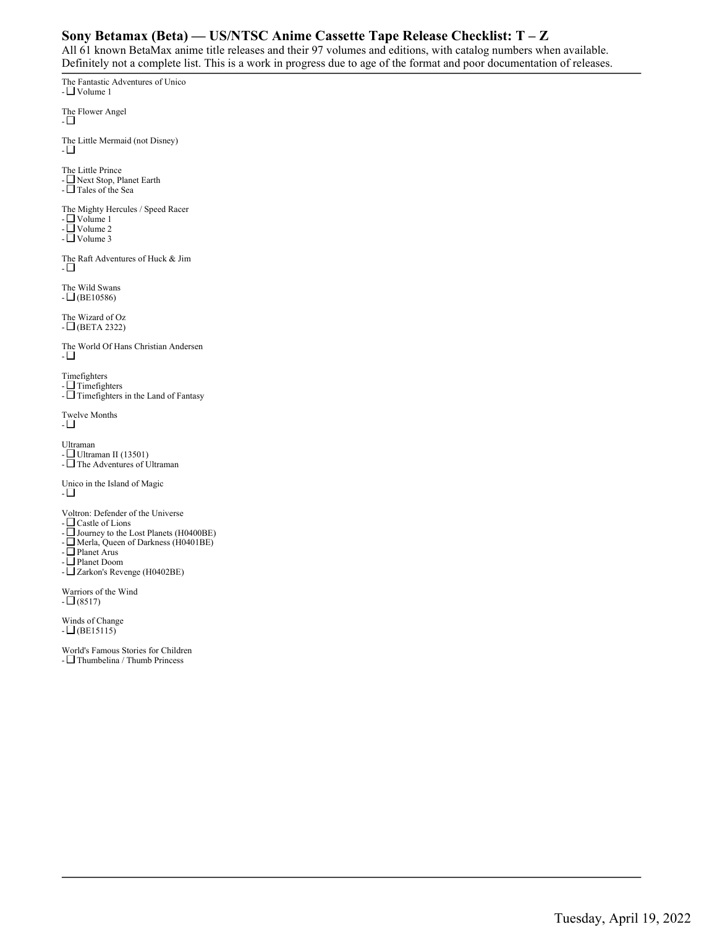## **Sony Betamax (Beta) — US/NTSC Anime Cassette Tape Release Checklist: T – Z**

All 61 known BetaMax anime title releases and their 97 volumes and editions, with catalog numbers when available. Definitely not a complete list. This is a work in progress due to age of the format and poor documentation of releases.

The Fantastic Adventures of Unico - Volume 1 The Flower Angel  $-\Box$ The Little Mermaid (not Disney)  $-\Box$ The Little Prince - Next Stop, Planet Earth - Tales of the Sea The Mighty Hercules / Speed Racer - Volume 1 - Volume 2  $\overline{\Box}$  Volume 3 The Raft Adventures of Huck & Jim  $-\Box$ The Wild Swans  $- \Box$ (BE10586) The Wizard of Oz  $-\Box$ (BETA 2322) The World Of Hans Christian Andersen - Timefighters  $-$  Timefighters -  $\Box$  Timefighters in the Land of Fantasy Twelve Months  $-1$ Ultraman - Ultraman II (13501)  $-\Box$  The Adventures of Ultraman Unico in the Island of Magic - Voltron: Defender of the Universe - Castle of Lions - Journey to the Lost Planets (H0400BE) - Merla, Queen of Darkness (H0401BE) - Planet Arus - Planet Doom - Zarkon's Revenge (H0402BE) Warriors of the Wind

 $- \Box (8517)$ 

Winds of Change  $- \square$ (BE15115)

World's Famous Stories for Children - Thumbelina / Thumb Princess